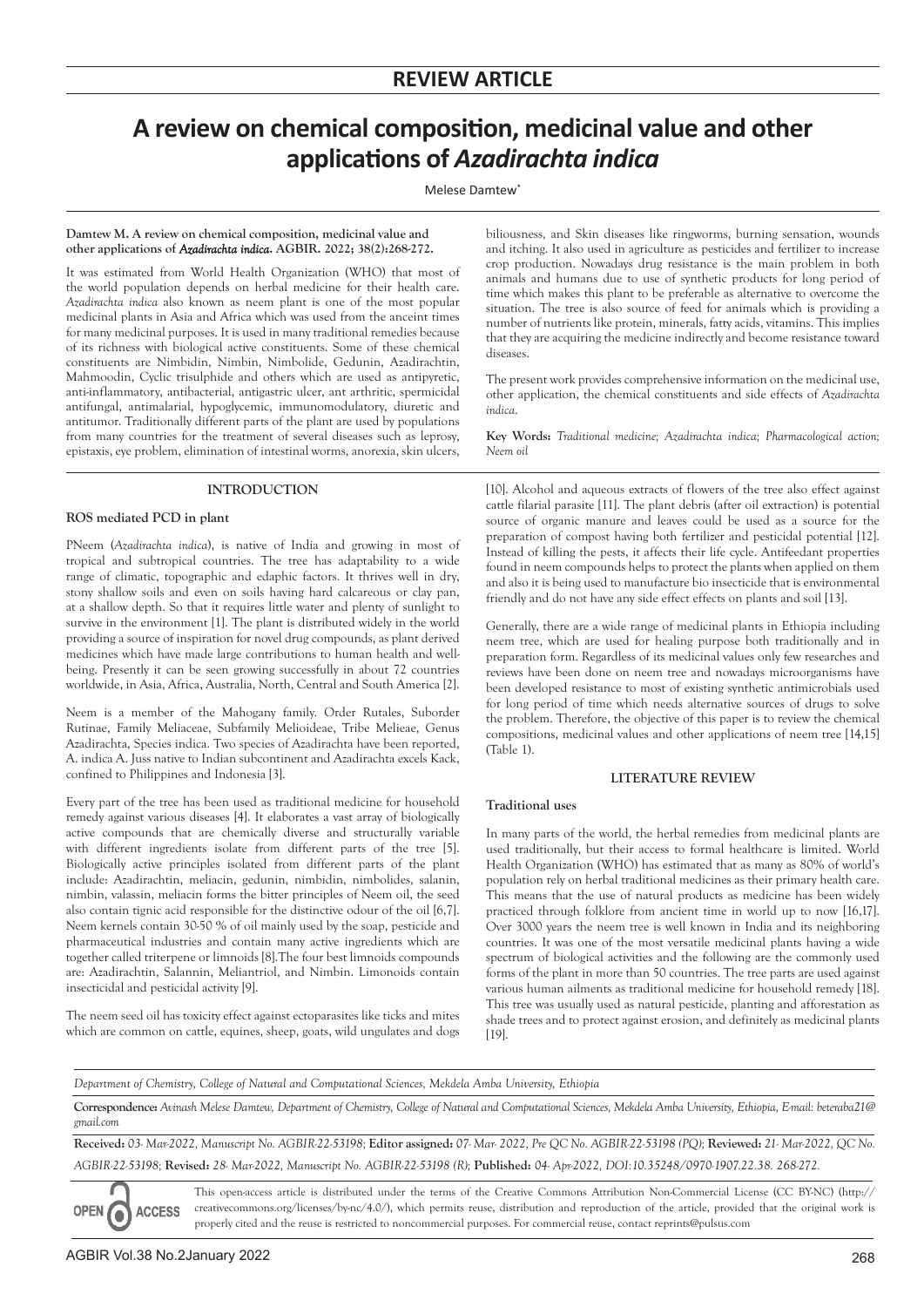# **A review on chemical composition, medicinal value and other applications of** *Azadirachta indica*

Melese Damtew<sup>\*</sup>

#### **Damtew M. A review on chemical composition, medicinal value and other applications of** *Azadirachta indica***. AGBIR. 2022; 38(2):268-272.**

It was estimated from World Health Organization (WHO) that most of the world population depends on herbal medicine for their health care. *Azadirachta indica* also known as neem plant is one of the most popular medicinal plants in Asia and Africa which was used from the anceint times for many medicinal purposes. It is used in many traditional remedies because of its richness with biological active constituents. Some of these chemical constituents are Nimbidin, Nimbin, Nimbolide, Gedunin, Azadirachtin, Mahmoodin, Cyclic trisulphide and others which are used as antipyretic, anti-inflammatory, antibacterial, antigastric ulcer, ant arthritic, spermicidal antifungal, antimalarial, hypoglycemic, immunomodulatory, diuretic and antitumor. Traditionally different parts of the plant are used by populations from many countries for the treatment of several diseases such as leprosy, epistaxis, eye problem, elimination of intestinal worms, anorexia, skin ulcers,

## **INTRODUCTION**

## **ROS mediated PCD in plant**

PNeem (*Azadirachta indica*), is native of India and growing in most of tropical and subtropical countries. The tree has adaptability to a wide range of climatic, topographic and edaphic factors. It thrives well in dry, stony shallow soils and even on soils having hard calcareous or clay pan, at a shallow depth. So that it requires little water and plenty of sunlight to survive in the environment [1]. The plant is distributed widely in the world providing a source of inspiration for novel drug compounds, as plant derived medicines which have made large contributions to human health and wellbeing. Presently it can be seen growing successfully in about 72 countries worldwide, in Asia, Africa, Australia, North, Central and South America [2].

Neem is a member of the Mahogany family. Order Rutales, Suborder Rutinae, Family Meliaceae, Subfamily Melioideae, Tribe Melieae, Genus Azadirachta, Species indica. Two species of Azadirachta have been reported, A. indica A. Juss native to Indian subcontinent and Azadirachta excels Kack, confined to Philippines and Indonesia [3].

Every part of the tree has been used as traditional medicine for household remedy against various diseases [4]. It elaborates a vast array of biologically active compounds that are chemically diverse and structurally variable with different ingredients isolate from different parts of the tree [5]. Biologically active principles isolated from different parts of the plant include: Azadirachtin, meliacin, gedunin, nimbidin, nimbolides, salanin, nimbin, valassin, meliacin forms the bitter principles of Neem oil, the seed also contain tignic acid responsible for the distinctive odour of the oil [6,7]. Neem kernels contain 30-50 % of oil mainly used by the soap, pesticide and pharmaceutical industries and contain many active ingredients which are together called triterpene or limnoids [8].The four best limnoids compounds are: Azadirachtin, Salannin, Meliantriol, and Nimbin. Limonoids contain insecticidal and pesticidal activity [9].

The neem seed oil has toxicity effect against ectoparasites like ticks and mites which are common on cattle, equines, sheep, goats, wild ungulates and dogs

biliousness, and Skin diseases like ringworms, burning sensation, wounds and itching. It also used in agriculture as pesticides and fertilizer to increase crop production. Nowadays drug resistance is the main problem in both animals and humans due to use of synthetic products for long period of time which makes this plant to be preferable as alternative to overcome the situation. The tree is also source of feed for animals which is providing a number of nutrients like protein, minerals, fatty acids, vitamins. This implies that they are acquiring the medicine indirectly and become resistance toward diseases.

The present work provides comprehensive information on the medicinal use, other application, the chemical constituents and side effects of *Azadirachta indica*.

**Key Words:** *Traditional medicine; Azadirachta indica; Pharmacological action; Neem oil*

[10]. Alcohol and aqueous extracts of flowers of the tree also effect against cattle filarial parasite [11]. The plant debris (after oil extraction) is potential source of organic manure and leaves could be used as a source for the preparation of compost having both fertilizer and pesticidal potential [12]. Instead of killing the pests, it affects their life cycle. Antifeedant properties found in neem compounds helps to protect the plants when applied on them and also it is being used to manufacture bio insecticide that is environmental friendly and do not have any side effect effects on plants and soil [13].

Generally, there are a wide range of medicinal plants in Ethiopia including neem tree, which are used for healing purpose both traditionally and in preparation form. Regardless of its medicinal values only few researches and reviews have been done on neem tree and nowadays microorganisms have been developed resistance to most of existing synthetic antimicrobials used for long period of time which needs alternative sources of drugs to solve the problem. Therefore, the objective of this paper is to review the chemical compositions, medicinal values and other applications of neem tree [14,15] (Table 1).

## **LITERATURE REVIEW**

### **Traditional uses**

In many parts of the world, the herbal remedies from medicinal plants are used traditionally, but their access to formal healthcare is limited. World Health Organization (WHO) has estimated that as many as 80% of world's population rely on herbal traditional medicines as their primary health care. This means that the use of natural products as medicine has been widely practiced through folklore from ancient time in world up to now [16,17]. Over 3000 years the neem tree is well known in India and its neighboring countries. It was one of the most versatile medicinal plants having a wide spectrum of biological activities and the following are the commonly used forms of the plant in more than 50 countries. The tree parts are used against various human ailments as traditional medicine for household remedy [18]. This tree was usually used as natural pesticide, planting and afforestation as shade trees and to protect against erosion, and definitely as medicinal plants [19].

*Department of Chemistry, College of Natural and Computational Sciences, Mekdela Amba University, Ethiopia*

Correspondence: Avinash Melese Damtew, Department of Chemistry, College of Natural and Computational Sciences, Mekdela Amba University, Ethiopia, E-mail: beteraba21@ *gmail.com*

**Received:** *03- Mar-2022, Manuscript No. AGBIR-22-53198;* **Editor assigned:** *07- Mar- 2022, Pre QC No. AGBIR-22-53198 (PQ);* **Reviewed:** *21- Mar-2022, QC No. AGBIR-22-53198;* **Revised:** *28- Mar-2022, Manuscript No. AGBIR-22-53198 (R);* **Published:** *04- Apr-2022, DOI:10.35248/0970-1907.22.38. 268-272.*

This open-access article is distributed under the terms of the Creative Commons Attribution Non-Commercial License (CC BY-NC) (http:// creativecommons.org/licenses/by-nc/4.0/), which permits reuse, distribution and reproduction of the article, provided that the original work is **ACCESS** properly cited and the reuse is restricted to noncommercial purposes. For commercial reuse, contact reprints@pulsus.com

**OPEN** 

0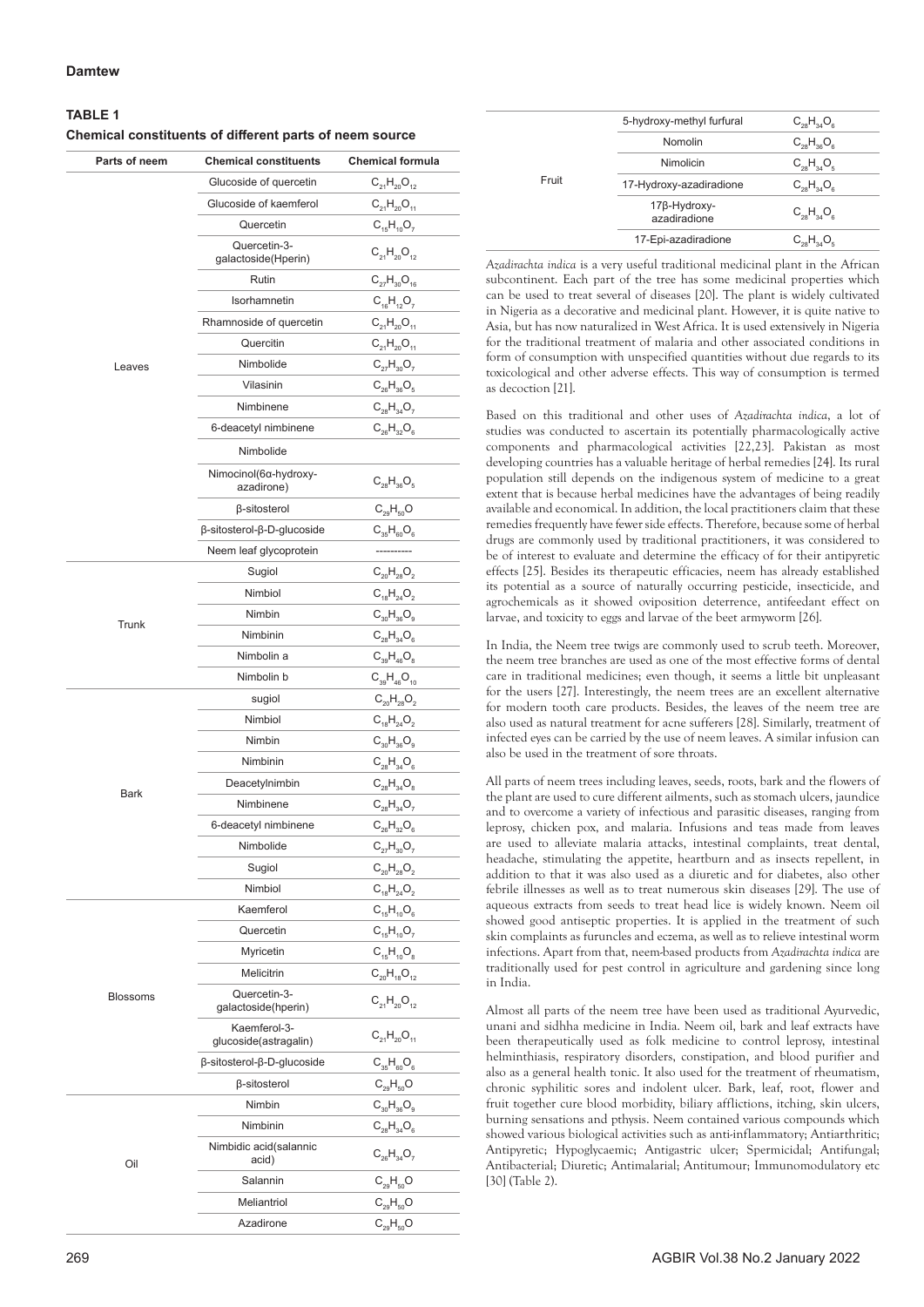## **Damtew**

| Parts of neem | <b>Chemical constituents</b>              | <b>Chemical formula</b> |
|---------------|-------------------------------------------|-------------------------|
|               | Glucoside of quercetin                    | $C_{21}H_{20}O_{12}$    |
|               | Glucoside of kaemferol                    | $C_{21}H_{20}O_{11}$    |
|               | Quercetin                                 | $C_{15}H_{10}O_7$       |
|               | Quercetin-3-<br>galactoside(Hperin)       | $C_{21}H_{20}O_{12}$    |
|               | Rutin                                     | $C_{27}H_{30}O_{16}$    |
|               | Isorhamnetin                              | $C_{16}H_{12}O_7$       |
|               | Rhamnoside of quercetin                   | $C_{21}H_{20}O_{11}$    |
|               | Quercitin                                 | $C_{21}H_{20}O_{11}$    |
| Leaves        | Nimbolide                                 | $C_{27}H_{30}O_7$       |
|               | Vilasinin                                 | $C_{26}H_{36}O_5$       |
|               | Nimbinene                                 | $C_{28}H_{34}O_7$       |
|               | 6-deacetyl nimbinene                      | $C_{26}H_{32}O_6$       |
|               | Nimbolide                                 |                         |
|               | Nimocinol(6α-hydroxy-<br>azadirone)       | $C_{28}H_{36}O_5$       |
|               | β-sitosterol                              | $C_{29}H_{50}O$         |
|               | $\beta$ -sitosterol- $\beta$ -D-glucoside | $C_{35}H_{60}O_{6}$     |
|               | Neem leaf glycoprotein                    | ----------              |
|               | Sugiol                                    | $C_{20}H_{28}O_2$       |
|               | Nimbiol                                   | $C_{18}H_{24}O_2$       |
|               | Nimbin                                    | $C_{30}H_{36}O_9$       |
| Trunk         | Nimbinin                                  | $C_{28}H_{34}O_6$       |
|               | Nimbolin a                                | $C_{39}H_{46}O_8$       |
|               | Nimbolin b                                | $C_{39}H_{46}O_{10}$    |
|               | sugiol                                    | $C_{20}H_{28}O_2$       |
|               | Nimbiol                                   | $C_{18}H_{24}O_2$       |
|               | Nimbin                                    | $C_{30}H_{36}O_9$       |
|               | Nimbinin                                  | $C_{28}H_{34}O_6$       |
|               | Deacetylnimbin                            | $C_{28}H_{34}O_8$       |
| Bark          | Nimbinene                                 | $C_{28}H_{34}O_7$       |
|               | 6-deacetyl nimbinene                      | $C_{26}H_{32}O_6$       |
|               | Nimbolide                                 | $C_{27}H_{30}O_7$       |
|               | Sugiol                                    | $C_{20}H_{28}O_2$       |
|               | Nimbiol                                   | $C_{18}H_{24}O_2$       |
|               | Kaemferol                                 | $C_{15}H_{10}O_6$       |
|               | Quercetin                                 | $C_{15}H_{10}O_7$       |
|               | Myricetin                                 | $C_{15}H_{10}O_8$       |
|               | Melicitrin                                | $C_{20}H_{18}O_{12}$    |
| Blossoms      | Quercetin-3-<br>galactoside(hperin)       | $C_{21}H_{20}O_{12}$    |
|               | Kaemferol-3-<br>glucoside(astragalin)     | $C_{21}H_{20}O_{11}$    |
|               | $\beta$ -sitosterol- $\beta$ -D-glucoside | $C_{35}H_{60}O_6$       |
|               | β-sitosterol                              | $C_{29}H_{50}O$         |
|               | Nimbin                                    | $C_{30}H_{36}O_9$       |
| Oil           | Nimbinin                                  | $C_{28}H_{34}O_6$       |
|               | Nimbidic acid(salannic<br>acid)           | $C_{26}H_{34}O_7$       |
|               | Salannin                                  | $C_{29}H_{50}O$         |
|               | Meliantriol                               | $C_{29}H_{50}O$         |

Azadirone  $C_{29}H_{50}O$ 

| Fruit | 5-hydroxy-methyl furfural    | $C_{28}H_{34}O_6$ |
|-------|------------------------------|-------------------|
|       | Nomolin                      | $C_{28}H_{36}O_6$ |
|       | Nimolicin                    | $C_{28}H_{34}O_5$ |
|       | 17-Hydroxy-azadiradione      | $C_{28}H_{34}O_6$ |
|       | 17β-Hydroxy-<br>azadiradione | $C_{28}H_{34}O_6$ |
|       | 17-Epi-azadiradione          | $C_{28}H_{34}O_6$ |
|       |                              |                   |

*Azadirachta indica* is a very useful traditional medicinal plant in the African subcontinent. Each part of the tree has some medicinal properties which can be used to treat several of diseases [20]. The plant is widely cultivated in Nigeria as a decorative and medicinal plant. However, it is quite native to Asia, but has now naturalized in West Africa. It is used extensively in Nigeria for the traditional treatment of malaria and other associated conditions in form of consumption with unspecified quantities without due regards to its toxicological and other adverse effects. This way of consumption is termed as decoction [21].

Based on this traditional and other uses of *Azadirachta indica*, a lot of studies was conducted to ascertain its potentially pharmacologically active components and pharmacological activities [22,23]. Pakistan as most developing countries has a valuable heritage of herbal remedies [24]. Its rural population still depends on the indigenous system of medicine to a great extent that is because herbal medicines have the advantages of being readily available and economical. In addition, the local practitioners claim that these remedies frequently have fewer side effects. Therefore, because some of herbal drugs are commonly used by traditional practitioners, it was considered to be of interest to evaluate and determine the efficacy of for their antipyretic effects [25]. Besides its therapeutic efficacies, neem has already established its potential as a source of naturally occurring pesticide, insecticide, and agrochemicals as it showed oviposition deterrence, antifeedant effect on larvae, and toxicity to eggs and larvae of the beet armyworm [26].

In India, the Neem tree twigs are commonly used to scrub teeth. Moreover, the neem tree branches are used as one of the most effective forms of dental care in traditional medicines; even though, it seems a little bit unpleasant for the users [27]. Interestingly, the neem trees are an excellent alternative for modern tooth care products. Besides, the leaves of the neem tree are also used as natural treatment for acne sufferers [28]. Similarly, treatment of infected eyes can be carried by the use of neem leaves. A similar infusion can also be used in the treatment of sore throats.

All parts of neem trees including leaves, seeds, roots, bark and the flowers of the plant are used to cure different ailments, such as stomach ulcers, jaundice and to overcome a variety of infectious and parasitic diseases, ranging from leprosy, chicken pox, and malaria. Infusions and teas made from leaves are used to alleviate malaria attacks, intestinal complaints, treat dental, headache, stimulating the appetite, heartburn and as insects repellent, in addition to that it was also used as a diuretic and for diabetes, also other febrile illnesses as well as to treat numerous skin diseases [29]. The use of aqueous extracts from seeds to treat head lice is widely known. Neem oil showed good antiseptic properties. It is applied in the treatment of such skin complaints as furuncles and eczema, as well as to relieve intestinal worm infections. Apart from that, neem-based products from *Azadirachta indica* are traditionally used for pest control in agriculture and gardening since long in India.

Almost all parts of the neem tree have been used as traditional Ayurvedic, unani and sidhha medicine in India. Neem oil, bark and leaf extracts have been therapeutically used as folk medicine to control leprosy, intestinal helminthiasis, respiratory disorders, constipation, and blood purifier and also as a general health tonic. It also used for the treatment of rheumatism, chronic syphilitic sores and indolent ulcer. Bark, leaf, root, flower and fruit together cure blood morbidity, biliary afflictions, itching, skin ulcers, burning sensations and pthysis. Neem contained various compounds which showed various biological activities such as anti-inflammatory; Antiarthritic; Antipyretic; Hypoglycaemic; Antigastric ulcer; Spermicidal; Antifungal; Antibacterial; Diuretic; Antimalarial; Antitumour; Immunomodulatory etc [30] (Table 2).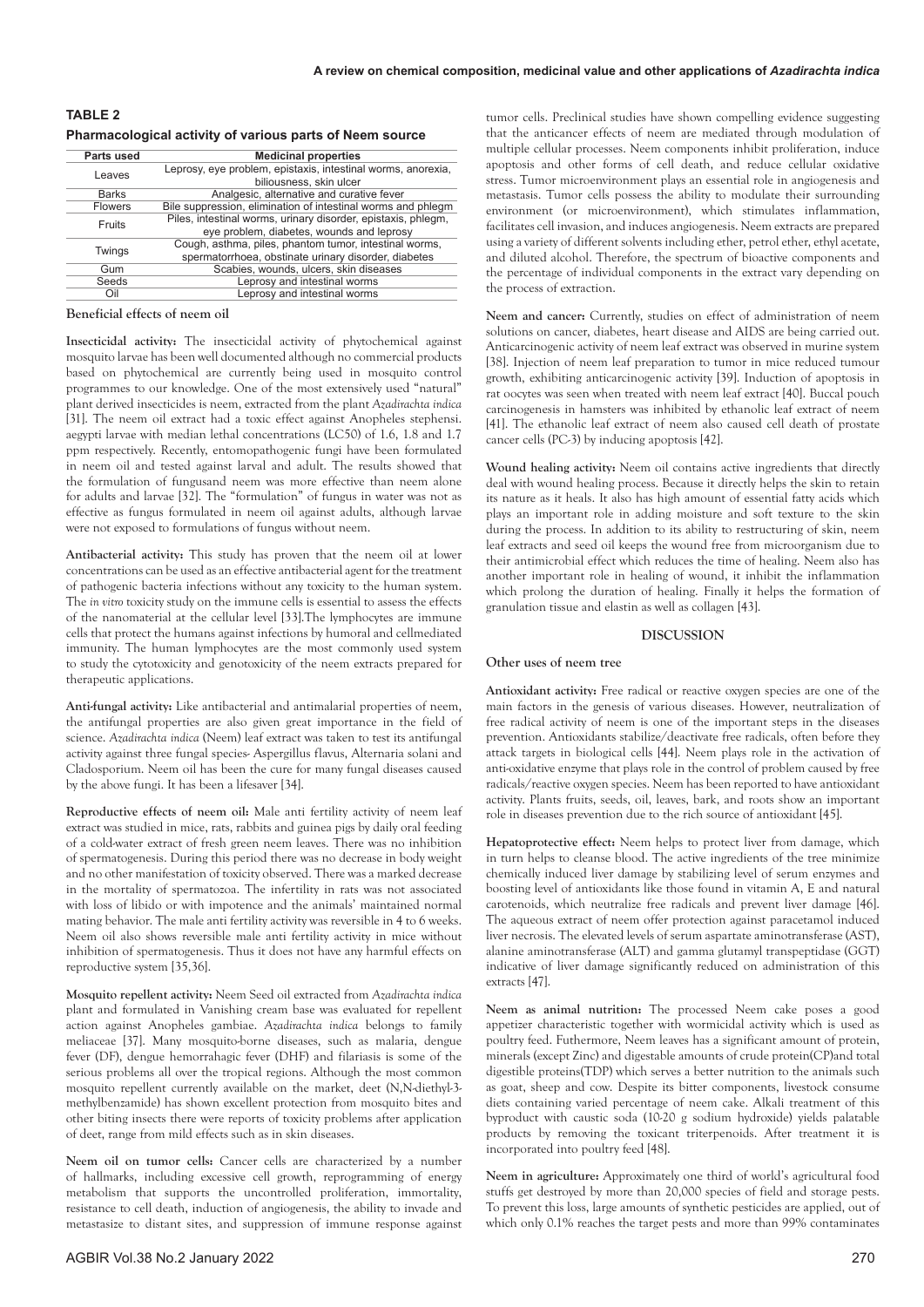| <b>TABLE 2</b>                                           |  |
|----------------------------------------------------------|--|
| Pharmacological activity of various parts of Neem source |  |

| Parts used     | <b>Medicinal properties</b>                                   |  |
|----------------|---------------------------------------------------------------|--|
| Leaves         | Leprosy, eye problem, epistaxis, intestinal worms, anorexia,  |  |
|                | biliousness, skin ulcer                                       |  |
| <b>Barks</b>   | Analgesic, alternative and curative fever                     |  |
| <b>Flowers</b> | Bile suppression, elimination of intestinal worms and phlegm  |  |
| Fruits         | Piles, intestinal worms, urinary disorder, epistaxis, phlegm, |  |
|                | eye problem, diabetes, wounds and leprosy                     |  |
| Twings         | Cough, asthma, piles, phantom tumor, intestinal worms,        |  |
|                | spermatorrhoea, obstinate urinary disorder, diabetes          |  |
| Gum            | Scabies, wounds, ulcers, skin diseases                        |  |
| Seeds          | Leprosy and intestinal worms                                  |  |
| Oil            | Leprosy and intestinal worms                                  |  |

## **Beneficial effects of neem oil**

**Insecticidal activity:** The insecticidal activity of phytochemical against mosquito larvae has been well documented although no commercial products based on phytochemical are currently being used in mosquito control programmes to our knowledge. One of the most extensively used "natural" plant derived insecticides is neem, extracted from the plant *Azadirachta indica* [31]. The neem oil extract had a toxic effect against Anopheles stephensi. aegypti larvae with median lethal concentrations (LC50) of 1.6, 1.8 and 1.7 ppm respectively. Recently, entomopathogenic fungi have been formulated in neem oil and tested against larval and adult. The results showed that the formulation of fungusand neem was more effective than neem alone for adults and larvae [32]. The "formulation" of fungus in water was not as effective as fungus formulated in neem oil against adults, although larvae were not exposed to formulations of fungus without neem.

**Antibacterial activity:** This study has proven that the neem oil at lower concentrations can be used as an effective antibacterial agent for the treatment of pathogenic bacteria infections without any toxicity to the human system. The *in vitro* toxicity study on the immune cells is essential to assess the effects of the nanomaterial at the cellular level [33].The lymphocytes are immune cells that protect the humans against infections by humoral and cellmediated immunity. The human lymphocytes are the most commonly used system to study the cytotoxicity and genotoxicity of the neem extracts prepared for therapeutic applications.

**Anti-fungal activity:** Like antibacterial and antimalarial properties of neem, the antifungal properties are also given great importance in the field of science. *Azadirachta indica* (Neem) leaf extract was taken to test its antifungal activity against three fungal species- Aspergillus flavus, Alternaria solani and Cladosporium. Neem oil has been the cure for many fungal diseases caused by the above fungi. It has been a lifesaver [34].

**Reproductive effects of neem oil:** Male anti fertility activity of neem leaf extract was studied in mice, rats, rabbits and guinea pigs by daily oral feeding of a cold-water extract of fresh green neem leaves. There was no inhibition of spermatogenesis. During this period there was no decrease in body weight and no other manifestation of toxicity observed. There was a marked decrease in the mortality of spermatozoa. The infertility in rats was not associated with loss of libido or with impotence and the animals' maintained normal mating behavior. The male anti fertility activity was reversible in 4 to 6 weeks. Neem oil also shows reversible male anti fertility activity in mice without inhibition of spermatogenesis. Thus it does not have any harmful effects on reproductive system [35,36].

**Mosquito repellent activity:** Neem Seed oil extracted from *Azadirachta indica* plant and formulated in Vanishing cream base was evaluated for repellent action against Anopheles gambiae. *Azadirachta indica* belongs to family meliaceae [37]. Many mosquito-borne diseases, such as malaria, dengue fever (DF), dengue hemorrahagic fever (DHF) and filariasis is some of the serious problems all over the tropical regions. Although the most common mosquito repellent currently available on the market, deet (N,N-diethyl-3 methylbenzamide) has shown excellent protection from mosquito bites and other biting insects there were reports of toxicity problems after application of deet, range from mild effects such as in skin diseases.

**Neem oil on tumor cells:** Cancer cells are characterized by a number of hallmarks, including excessive cell growth, reprogramming of energy metabolism that supports the uncontrolled proliferation, immortality, resistance to cell death, induction of angiogenesis, the ability to invade and metastasize to distant sites, and suppression of immune response against tumor cells. Preclinical studies have shown compelling evidence suggesting that the anticancer effects of neem are mediated through modulation of multiple cellular processes. Neem components inhibit proliferation, induce apoptosis and other forms of cell death, and reduce cellular oxidative stress. Tumor microenvironment plays an essential role in angiogenesis and metastasis. Tumor cells possess the ability to modulate their surrounding environment (or microenvironment), which stimulates inflammation, facilitates cell invasion, and induces angiogenesis. Neem extracts are prepared using a variety of different solvents including ether, petrol ether, ethyl acetate, and diluted alcohol. Therefore, the spectrum of bioactive components and the percentage of individual components in the extract vary depending on the process of extraction.

**Neem and cancer:** Currently, studies on effect of administration of neem solutions on cancer, diabetes, heart disease and AIDS are being carried out. Anticarcinogenic activity of neem leaf extract was observed in murine system [38]. Injection of neem leaf preparation to tumor in mice reduced tumour growth, exhibiting anticarcinogenic activity [39]. Induction of apoptosis in rat oocytes was seen when treated with neem leaf extract [40]. Buccal pouch carcinogenesis in hamsters was inhibited by ethanolic leaf extract of neem [41]. The ethanolic leaf extract of neem also caused cell death of prostate cancer cells (PC-3) by inducing apoptosis [42].

**Wound healing activity:** Neem oil contains active ingredients that directly deal with wound healing process. Because it directly helps the skin to retain its nature as it heals. It also has high amount of essential fatty acids which plays an important role in adding moisture and soft texture to the skin during the process. In addition to its ability to restructuring of skin, neem leaf extracts and seed oil keeps the wound free from microorganism due to their antimicrobial effect which reduces the time of healing. Neem also has another important role in healing of wound, it inhibit the inflammation which prolong the duration of healing. Finally it helps the formation of granulation tissue and elastin as well as collagen [43].

#### **DISCUSSION**

#### **Other uses of neem tree**

**Antioxidant activity:** Free radical or reactive oxygen species are one of the main factors in the genesis of various diseases. However, neutralization of free radical activity of neem is one of the important steps in the diseases prevention. Antioxidants stabilize/deactivate free radicals, often before they attack targets in biological cells [44]. Neem plays role in the activation of anti-oxidative enzyme that plays role in the control of problem caused by free radicals/reactive oxygen species. Neem has been reported to have antioxidant activity. Plants fruits, seeds, oil, leaves, bark, and roots show an important role in diseases prevention due to the rich source of antioxidant [45].

**Hepatoprotective effect:** Neem helps to protect liver from damage, which in turn helps to cleanse blood. The active ingredients of the tree minimize chemically induced liver damage by stabilizing level of serum enzymes and boosting level of antioxidants like those found in vitamin A, E and natural carotenoids, which neutralize free radicals and prevent liver damage [46]. The aqueous extract of neem offer protection against paracetamol induced liver necrosis. The elevated levels of serum aspartate aminotransferase (AST), alanine aminotransferase (ALT) and gamma glutamyl transpeptidase (GGT) indicative of liver damage significantly reduced on administration of this extracts [47].

**Neem as animal nutrition:** The processed Neem cake poses a good appetizer characteristic together with wormicidal activity which is used as poultry feed. Futhermore, Neem leaves has a significant amount of protein, minerals (except Zinc) and digestable amounts of crude protein(CP)and total digestible proteins(TDP) which serves a better nutrition to the animals such as goat, sheep and cow. Despite its bitter components, livestock consume diets containing varied percentage of neem cake. Alkali treatment of this byproduct with caustic soda (10-20 g sodium hydroxide) yields palatable products by removing the toxicant triterpenoids. After treatment it is incorporated into poultry feed [48].

**Neem in agriculture:** Approximately one third of world's agricultural food stuffs get destroyed by more than 20,000 species of field and storage pests. To prevent this loss, large amounts of synthetic pesticides are applied, out of which only 0.1% reaches the target pests and more than 99% contaminates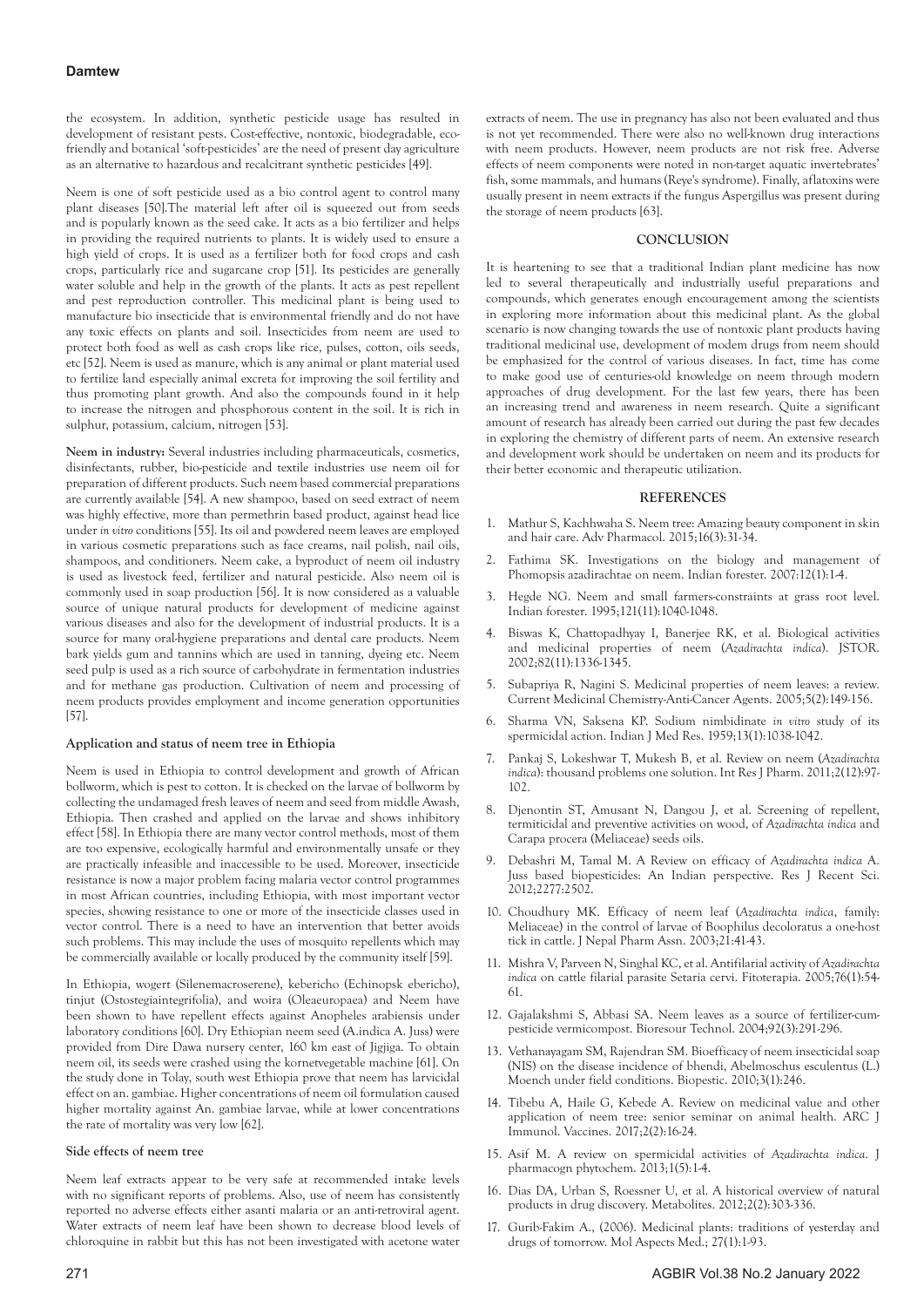## **Damtew**

the ecosystem. In addition, synthetic pesticide usage has resulted in development of resistant pests. Cost-effective, nontoxic, biodegradable, ecofriendly and botanical 'soft-pesticides' are the need of present day agriculture as an alternative to hazardous and recalcitrant synthetic pesticides [49].

Neem is one of soft pesticide used as a bio control agent to control many plant diseases [50].The material left after oil is squeezed out from seeds and is popularly known as the seed cake. It acts as a bio fertilizer and helps in providing the required nutrients to plants. It is widely used to ensure a high yield of crops. It is used as a fertilizer both for food crops and cash crops, particularly rice and sugarcane crop [51]. Its pesticides are generally water soluble and help in the growth of the plants. It acts as pest repellent and pest reproduction controller. This medicinal plant is being used to manufacture bio insecticide that is environmental friendly and do not have any toxic effects on plants and soil. Insecticides from neem are used to protect both food as well as cash crops like rice, pulses, cotton, oils seeds, etc [52]. Neem is used as manure, which is any animal or plant material used to fertilize land especially animal excreta for improving the soil fertility and thus promoting plant growth. And also the compounds found in it help to increase the nitrogen and phosphorous content in the soil. It is rich in sulphur, potassium, calcium, nitrogen [53].

**Neem in industry:** Several industries including pharmaceuticals, cosmetics, disinfectants, rubber, bio-pesticide and textile industries use neem oil for preparation of different products. Such neem based commercial preparations are currently available [54]. A new shampoo, based on seed extract of neem was highly effective, more than permethrin based product, against head lice under *in vitro* conditions [55]. Its oil and powdered neem leaves are employed in various cosmetic preparations such as face creams, nail polish, nail oils, shampoos, and conditioners. Neem cake, a byproduct of neem oil industry is used as livestock feed, fertilizer and natural pesticide. Also neem oil is commonly used in soap production [56]. It is now considered as a valuable source of unique natural products for development of medicine against various diseases and also for the development of industrial products. It is a source for many oral-hygiene preparations and dental care products. Neem bark yields gum and tannins which are used in tanning, dyeing etc. Neem seed pulp is used as a rich source of carbohydrate in fermentation industries and for methane gas production. Cultivation of neem and processing of neem products provides employment and income generation opportunities [57].

## **Application and status of neem tree in Ethiopia**

Neem is used in Ethiopia to control development and growth of African bollworm, which is pest to cotton. It is checked on the larvae of bollworm by collecting the undamaged fresh leaves of neem and seed from middle Awash, Ethiopia. Then crashed and applied on the larvae and shows inhibitory effect [58]. In Ethiopia there are many vector control methods, most of them are too expensive, ecologically harmful and environmentally unsafe or they are practically infeasible and inaccessible to be used. Moreover, insecticide resistance is now a major problem facing malaria vector control programmes in most African countries, including Ethiopia, with most important vector species, showing resistance to one or more of the insecticide classes used in vector control. There is a need to have an intervention that better avoids such problems. This may include the uses of mosquito repellents which may be commercially available or locally produced by the community itself [59].

In Ethiopia, wogert (Silenemacroserene), kebericho (Echinopsk ebericho), tinjut (Ostostegiaintegrifolia), and woira (Oleaeuropaea) and Neem have been shown to have repellent effects against Anopheles arabiensis under laboratory conditions [60]. Dry Ethiopian neem seed (A.indica A. Juss) were provided from Dire Dawa nursery center, 160 km east of Jigjiga. To obtain neem oil, its seeds were crashed using the kornetvegetable machine [61]. On the study done in Tolay, south west Ethiopia prove that neem has larvicidal effect on an. gambiae. Higher concentrations of neem oil formulation caused higher mortality against An. gambiae larvae, while at lower concentrations the rate of mortality was very low [62].

## **Side effects of neem tree**

Neem leaf extracts appear to be very safe at recommended intake levels with no significant reports of problems. Also, use of neem has consistently reported no adverse effects either asanti malaria or an anti-retroviral agent. Water extracts of neem leaf have been shown to decrease blood levels of chloroquine in rabbit but this has not been investigated with acetone water

extracts of neem. The use in pregnancy has also not been evaluated and thus is not yet recommended. There were also no well-known drug interactions with neem products. However, neem products are not risk free. Adverse effects of neem components were noted in non-target aquatic invertebrates' fish, some mammals, and humans (Reye's syndrome). Finally, aflatoxins were usually present in neem extracts if the fungus Aspergillus was present during the storage of neem products [63].

#### **CONCLUSION**

It is heartening to see that a traditional Indian plant medicine has now led to several therapeutically and industrially useful preparations and compounds, which generates enough encouragement among the scientists in exploring more information about this medicinal plant. As the global scenario is now changing towards the use of nontoxic plant products having traditional medicinal use, development of modem drugs from neem should be emphasized for the control of various diseases. In fact, time has come to make good use of centuries-old knowledge on neem through modern approaches of drug development. For the last few years, there has been an increasing trend and awareness in neem research. Quite a significant amount of research has already been carried out during the past few decades in exploring the chemistry of different parts of neem. An extensive research and development work should be undertaken on neem and its products for their better economic and therapeutic utilization.

#### **REFERENCES**

- 1. Mathur S, Kachhwaha S. [Neem tree: Amazing beauty component in skin](https://www.proquest.com/openview/88c15ad2374c54a57d9ff24731bb1f93/1?pq-origsite=gscholar&cbl=136117)  [and hair care.](https://www.proquest.com/openview/88c15ad2374c54a57d9ff24731bb1f93/1?pq-origsite=gscholar&cbl=136117) Adv Pharmacol. 2015;16(3):31-34.
- 2. Fathima SK. Investigations on the biology and management of Phomopsis azadirachtae on neem. Indian forester. 2007:12(1):1-4.
- 3. Hegde NG. Neem and small farmers-constraints at grass root level. Indian forester. 1995;121(11):1040-1048.
- 4. Biswas K, Chattopadhyay I, Banerjee RK, et al. [Biological activities](http://www.indianforester.in/index.php/indianforester/article/view/7374)  [and medicinal properties of neem \(](http://www.indianforester.in/index.php/indianforester/article/view/7374)*Azadirachta indica*). JSTOR. 2002;82(11):1336-1345.
- 5. Subapriya R, Nagini S. [Medicinal properties of neem leaves: a review.](https://www.ingentaconnect.com/content/ben/cmcaca/2005/00000005/00000002/art00006)  Current Medicinal Chemistry-Anti-Cancer Agents. 2005;5(2):149-156.
- 6. Sharma VN, Saksena KP. [Sodium nimbidinate](https://pesquisa.bvsalud.org/portal/resource/pt/sea-67165) *in vitro* study of its [spermicidal action. I](https://pesquisa.bvsalud.org/portal/resource/pt/sea-67165)ndian J Med Res. 1959;13(1):1038-1042.
- 7. Pankaj S, Lokeshwar T, Mukesh B, et al. [Review on neem \(](https://www.researchgate.net/publication/288971662_Review_on_neem_Azadirachta_indica_Thousand_problems_one_solution)*Azadirachta indica*[\): thousand problems one solution.](https://www.researchgate.net/publication/288971662_Review_on_neem_Azadirachta_indica_Thousand_problems_one_solution) Int Res J Pharm. 2011;2(12):97- 102.
- 8. Djenontin ST, Amusant N, Dangou J, et al. [Screening of repellent,](https://agritrop.cirad.fr/569503/)  [termiticidal and preventive activities on wood, of](https://agritrop.cirad.fr/569503/) *Azadirachta indica* and [Carapa procera \(Meliaceae\) seeds oils.](https://agritrop.cirad.fr/569503/)
- 9. Debashri M, Tamal M. [A Review on efficacy of](https://d1wqtxts1xzle7.cloudfront.net/30219074/15.isca-rjrs-2012-067_done-with-cover-page-v2.pdf?Expires=1647331868&Signature=FpPj3f1XTWHAFuMvWVn4wfgcOPJdOnyeisLpu5UaIwQGpHlDAr9jeP6-Zw2MdnmbDT6UUArqJuDSmDyH5CXm87kX-1jnj19wscVX6-crFZSKPuReKW-1pKHj7elV3bggpNaM8KXIDpkS0uqbPlzrhleiM1BhUiucHL-lZ247Cr2huoFuo-X1IgyFvj-CC2DaAEZdfdgGMVWg6SVmZlPQoANiTZbggq8W~5A57Fj5Rzna3db9EIS49f3dqRFlm224jkHXBO1kxJYMFBFV~yk-r9oQeAO2fqSr3J2WQUmQedN7zHVvd0nZxt58dY6CzozmgcfBaWQClb4lnQNxVFpmIw__&Key-Pair-Id=APKAJLOHF5GGSLRBV4ZA) *Azadirachta indica* A. [Juss based biopesticides: An Indian perspective.](https://d1wqtxts1xzle7.cloudfront.net/30219074/15.isca-rjrs-2012-067_done-with-cover-page-v2.pdf?Expires=1647331868&Signature=FpPj3f1XTWHAFuMvWVn4wfgcOPJdOnyeisLpu5UaIwQGpHlDAr9jeP6-Zw2MdnmbDT6UUArqJuDSmDyH5CXm87kX-1jnj19wscVX6-crFZSKPuReKW-1pKHj7elV3bggpNaM8KXIDpkS0uqbPlzrhleiM1BhUiucHL-lZ247Cr2huoFuo-X1IgyFvj-CC2DaAEZdfdgGMVWg6SVmZlPQoANiTZbggq8W~5A57Fj5Rzna3db9EIS49f3dqRFlm224jkHXBO1kxJYMFBFV~yk-r9oQeAO2fqSr3J2WQUmQedN7zHVvd0nZxt58dY6CzozmgcfBaWQClb4lnQNxVFpmIw__&Key-Pair-Id=APKAJLOHF5GGSLRBV4ZA) Res J Recent Sci. 2012;2277:2502.
- 10. Choudhury MK. Efficacy of neem leaf (*Azadirachta indica*, family: Meliaceae) in the control of larvae of Boophilus decoloratus a one-host tick in cattle. J Nepal Pharm Assn. 2003;21:41-43.
- 11. Mishra V, Parveen N, Singhal KC, et al. [Antifilarial activity of](https://www.sciencedirect.com/science/article/abs/pii/S0367326X04002369) *Azadirachta indica* [on cattle filarial parasite Setaria cervi.](https://www.sciencedirect.com/science/article/abs/pii/S0367326X04002369) Fitoterapia. 2005;76(1):54- 61.
- 12. Gajalakshmi S, Abbasi SA. [Neem leaves as a source of fertilizer-cum](https://www.sciencedirect.com/science/article/abs/pii/S0960852403002438)[pesticide vermicompost. B](https://www.sciencedirect.com/science/article/abs/pii/S0960852403002438)ioresour Technol. 2004;92(3):291-296.
- 13. Vethanayagam SM, Rajendran SM. [Bioefficacy of neem insecticidal soap](http://www.jbiopest.com/users/lw8/efiles/vethanayagam_v31.pdf)  [\(NIS\) on the disease incidence of bhendi, Abelmoschus esculentus \(L.\)](http://www.jbiopest.com/users/lw8/efiles/vethanayagam_v31.pdf)  [Moench under field conditions.](http://www.jbiopest.com/users/lw8/efiles/vethanayagam_v31.pdf) Biopestic. 2010;3(1):246.
- 14. Tibebu A, Haile G, Kebede A[. Review on medicinal value and other](http://45.113.122.54/pdfs/ajiv/v2-i2/4.pdf)  [application of neem tree: senior seminar on animal health.](http://45.113.122.54/pdfs/ajiv/v2-i2/4.pdf) ARC J Immunol. Vaccines. 2017;2(2):16-24.
- 15. Asif M. [A review on spermicidal activities of](https://www.phytojournal.com/archives/2013/vol1issue5/PartA/12.1.pdf) *Azadirachta indica*. J pharmacogn phytochem. 2013;1(5):1-4.
- 16. Dias DA, Urban S, Roessner U, et al. [A historical overview of natural](https://www.mdpi.com/2218-1989/2/2/303)  [products in drug discovery.](https://www.mdpi.com/2218-1989/2/2/303) Metabolites. 2012;2(2):303-336.
- 17. Gurib-Fakim A., (2006)[. Medicinal plants: traditions of yesterday and](https://www.sciencedirect.com/science/article/abs/pii/S009829)  [drugs of tomorrow. M](https://www.sciencedirect.com/science/article/abs/pii/S009829)ol Aspects Med.; 27(1):1-93.